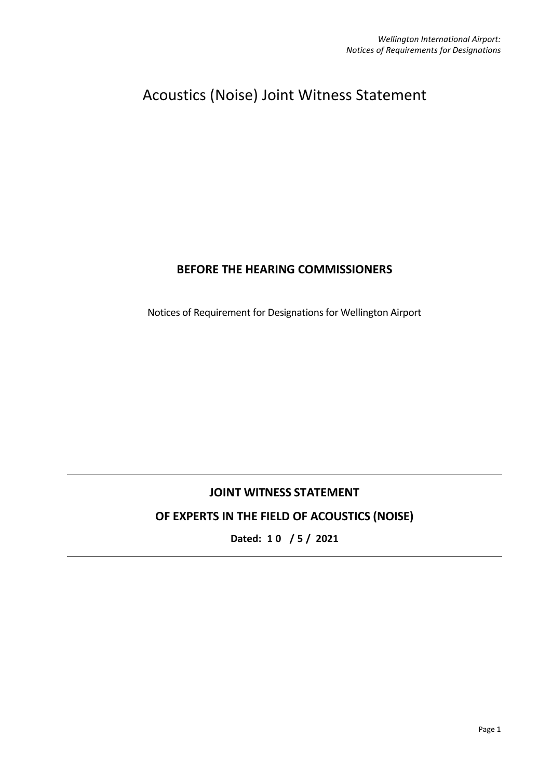# Acoustics (Noise) Joint Witness Statement

### **BEFORE THE HEARING COMMISSIONERS**

Notices of Requirement for Designations for Wellington Airport

## **JOINT WITNESS STATEMENT**

# **OF EXPERTS IN THE FIELD OF ACOUSTICS (NOISE)**

**Dated: 1 0 / 5 / 2021**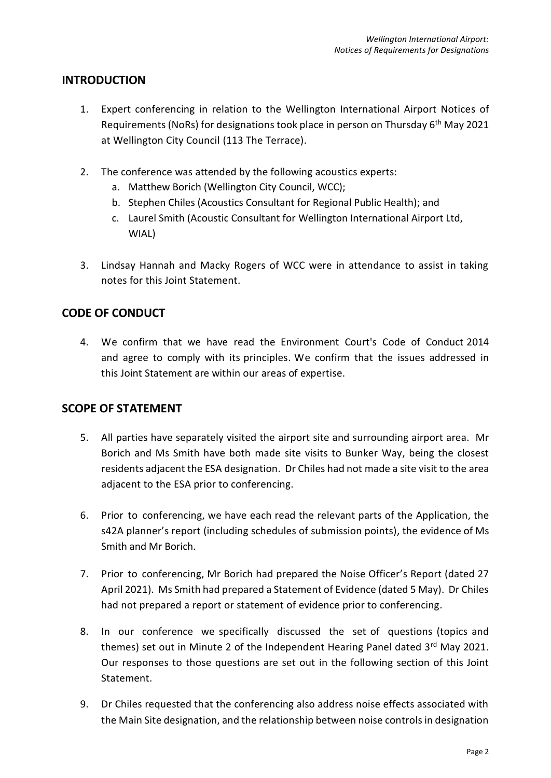#### **INTRODUCTION**

- 1. Expert conferencing in relation to the Wellington International Airport Notices of Requirements (NoRs) for designations took place in person on Thursday 6<sup>th</sup> May 2021 at Wellington City Council (113 The Terrace).
- 2. The conference was attended by the following acoustics experts:
	- a. Matthew Borich (Wellington City Council, WCC);
	- b. Stephen Chiles (Acoustics Consultant for Regional Public Health); and
	- c. Laurel Smith (Acoustic Consultant for Wellington International Airport Ltd, WIAL)
- 3. Lindsay Hannah and Macky Rogers of WCC were in attendance to assist in taking notes for this Joint Statement.

#### **CODE OF CONDUCT**

4. We confirm that we have read the Environment Court's Code of Conduct 2014 and agree to comply with its principles. We confirm that the issues addressed in this Joint Statement are within our areas of expertise.

#### **SCOPE OF STATEMENT**

- 5. All parties have separately visited the airport site and surrounding airport area. Mr Borich and Ms Smith have both made site visits to Bunker Way, being the closest residents adjacent the ESA designation. Dr Chiles had not made a site visit to the area adjacent to the ESA prior to conferencing.
- 6. Prior to conferencing, we have each read the relevant parts of the Application, the s42A planner's report (including schedules of submission points), the evidence of Ms Smith and Mr Borich.
- 7. Prior to conferencing, Mr Borich had prepared the Noise Officer's Report (dated 27 April 2021). Ms Smith had prepared a Statement of Evidence (dated 5 May). Dr Chiles had not prepared a report or statement of evidence prior to conferencing.
- 8. In our conference we specifically discussed the set of questions (topics and themes) set out in Minute 2 of the Independent Hearing Panel dated 3rd May 2021. Our responses to those questions are set out in the following section of this Joint Statement.
- 9. Dr Chiles requested that the conferencing also address noise effects associated with the Main Site designation, and the relationship between noise controls in designation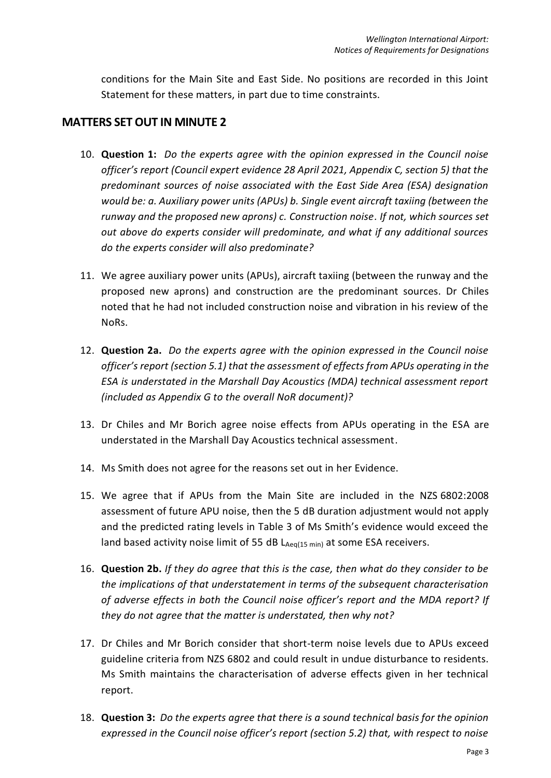conditions for the Main Site and East Side. No positions are recorded in this Joint Statement for these matters, in part due to time constraints.

#### **MATTERS SET OUT IN MINUTE 2**

- 10. **Question 1:** *Do the experts agree with the opinion expressed in the Council noise officer's report (Council expert evidence 28 April 2021, Appendix C, section 5) that the predominant sources of noise associated with the East Side Area (ESA) designation would be: a. Auxiliary power units (APUs) b. Single event aircraft taxiing (between the runway and the proposed new aprons) c. Construction noise. If not, which sources set out above do experts consider will predominate, and what if any additional sources do the experts consider will also predominate?*
- 11. We agree auxiliary power units (APUs), aircraft taxiing (between the runway and the proposed new aprons) and construction are the predominant sources. Dr Chiles noted that he had not included construction noise and vibration in his review of the NoRs.
- 12. **Question 2a.** *Do the experts agree with the opinion expressed in the Council noise officer's report (section 5.1) that the assessment of effects from APUs operating in the ESA is understated in the Marshall Day Acoustics (MDA) technical assessment report (included as Appendix G to the overall NoR document)?*
- 13. Dr Chiles and Mr Borich agree noise effects from APUs operating in the ESA are understated in the Marshall Day Acoustics technical assessment.
- 14. Ms Smith does not agree for the reasons set out in her Evidence.
- 15. We agree that if APUs from the Main Site are included in the NZS 6802:2008 assessment of future APU noise, then the 5 dB duration adjustment would not apply and the predicted rating levels in Table 3 of Ms Smith's evidence would exceed the land based activity noise limit of 55 dB  $L_{Aeq(15 min)}$  at some ESA receivers.
- 16. **Question 2b.** *If they do agree that this is the case, then what do they consider to be the implications of that understatement in terms of the subsequent characterisation of adverse effects in both the Council noise officer's report and the MDA report? If they do not agree that the matter is understated, then why not?*
- 17. Dr Chiles and Mr Borich consider that short-term noise levels due to APUs exceed guideline criteria from NZS 6802 and could result in undue disturbance to residents. Ms Smith maintains the characterisation of adverse effects given in her technical report.
- 18. **Question 3:** *Do the experts agree that there is a sound technical basis for the opinion expressed in the Council noise officer's report (section 5.2) that, with respect to noise*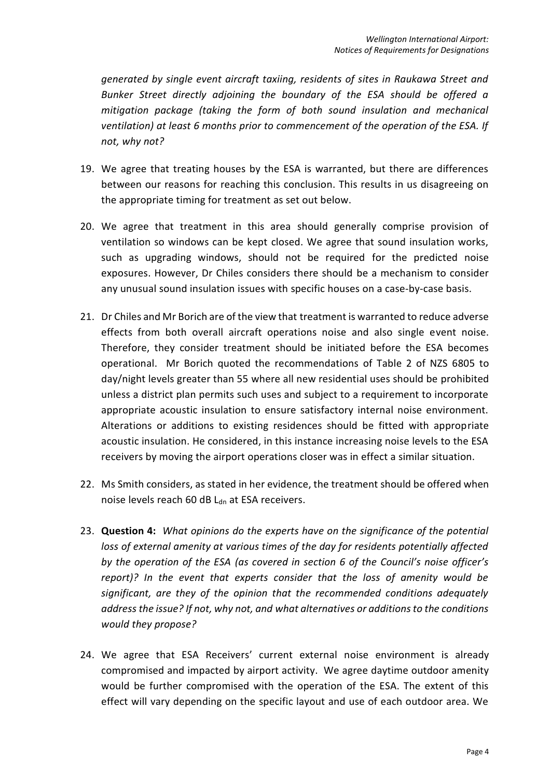*generated by single event aircraft taxiing, residents of sites in Raukawa Street and Bunker Street directly adjoining the boundary of the ESA should be offered a mitigation package (taking the form of both sound insulation and mechanical ventilation) at least 6 months prior to commencement of the operation of the ESA. If not, why not?* 

- 19. We agree that treating houses by the ESA is warranted, but there are differences between our reasons for reaching this conclusion. This results in us disagreeing on the appropriate timing for treatment as set out below.
- 20. We agree that treatment in this area should generally comprise provision of ventilation so windows can be kept closed. We agree that sound insulation works, such as upgrading windows, should not be required for the predicted noise exposures. However, Dr Chiles considers there should be a mechanism to consider any unusual sound insulation issues with specific houses on a case-by-case basis.
- 21. Dr Chiles and Mr Borich are of the view that treatment is warranted to reduce adverse effects from both overall aircraft operations noise and also single event noise. Therefore, they consider treatment should be initiated before the ESA becomes operational. Mr Borich quoted the recommendations of Table 2 of NZS 6805 to day/night levels greater than 55 where all new residential uses should be prohibited unless a district plan permits such uses and subject to a requirement to incorporate appropriate acoustic insulation to ensure satisfactory internal noise environment. Alterations or additions to existing residences should be fitted with appropriate acoustic insulation. He considered, in this instance increasing noise levels to the ESA receivers by moving the airport operations closer was in effect a similar situation.
- 22. Ms Smith considers, as stated in her evidence, the treatment should be offered when noise levels reach 60 dB Ldn at ESA receivers.
- 23. **Question 4:** *What opinions do the experts have on the significance of the potential loss of external amenity at various times of the day for residents potentially affected by the operation of the ESA (as covered in section 6 of the Council's noise officer's report)? In the event that experts consider that the loss of amenity would be significant, are they of the opinion that the recommended conditions adequately address the issue? If not, why not, and what alternatives or additions to the conditions would they propose?*
- 24. We agree that ESA Receivers' current external noise environment is already compromised and impacted by airport activity. We agree daytime outdoor amenity would be further compromised with the operation of the ESA. The extent of this effect will vary depending on the specific layout and use of each outdoor area. We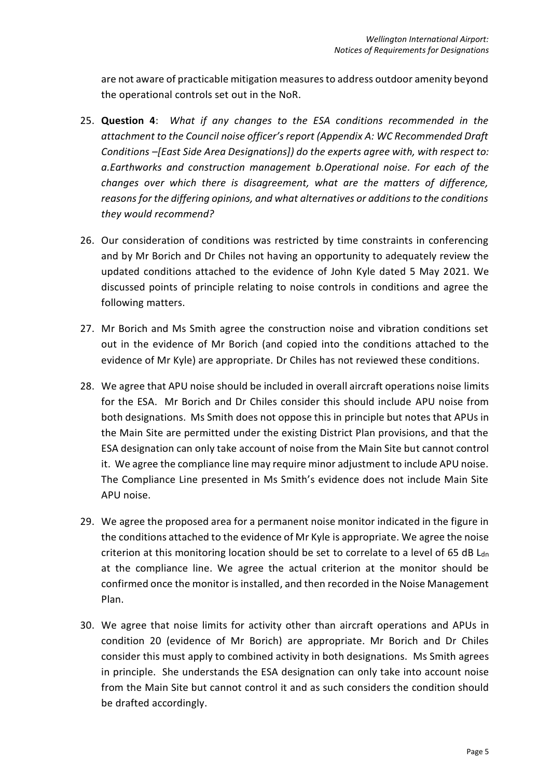are not aware of practicable mitigation measures to address outdoor amenity beyond the operational controls set out in the NoR.

- 25. **Question 4**: *What if any changes to the ESA conditions recommended in the attachment to the Council noise officer's report (Appendix A: WC Recommended Draft Conditions –[East Side Area Designations]) do the experts agree with, with respect to: a.Earthworks and construction management b.Operational noise. For each of the changes over which there is disagreement, what are the matters of difference, reasons for the differing opinions, and what alternatives or additions to the conditions they would recommend?*
- 26. Our consideration of conditions was restricted by time constraints in conferencing and by Mr Borich and Dr Chiles not having an opportunity to adequately review the updated conditions attached to the evidence of John Kyle dated 5 May 2021. We discussed points of principle relating to noise controls in conditions and agree the following matters.
- 27. Mr Borich and Ms Smith agree the construction noise and vibration conditions set out in the evidence of Mr Borich (and copied into the conditions attached to the evidence of Mr Kyle) are appropriate. Dr Chiles has not reviewed these conditions.
- 28. We agree that APU noise should be included in overall aircraft operations noise limits for the ESA. Mr Borich and Dr Chiles consider this should include APU noise from both designations. Ms Smith does not oppose this in principle but notes that APUs in the Main Site are permitted under the existing District Plan provisions, and that the ESA designation can only take account of noise from the Main Site but cannot control it. We agree the compliance line may require minor adjustment to include APU noise. The Compliance Line presented in Ms Smith's evidence does not include Main Site APU noise.
- 29. We agree the proposed area for a permanent noise monitor indicated in the figure in the conditions attached to the evidence of Mr Kyle is appropriate. We agree the noise criterion at this monitoring location should be set to correlate to a level of 65 dB  $L<sub>dn</sub>$ at the compliance line. We agree the actual criterion at the monitor should be confirmed once the monitor is installed, and then recorded in the Noise Management Plan.
- 30. We agree that noise limits for activity other than aircraft operations and APUs in condition 20 (evidence of Mr Borich) are appropriate. Mr Borich and Dr Chiles consider this must apply to combined activity in both designations. Ms Smith agrees in principle. She understands the ESA designation can only take into account noise from the Main Site but cannot control it and as such considers the condition should be drafted accordingly.